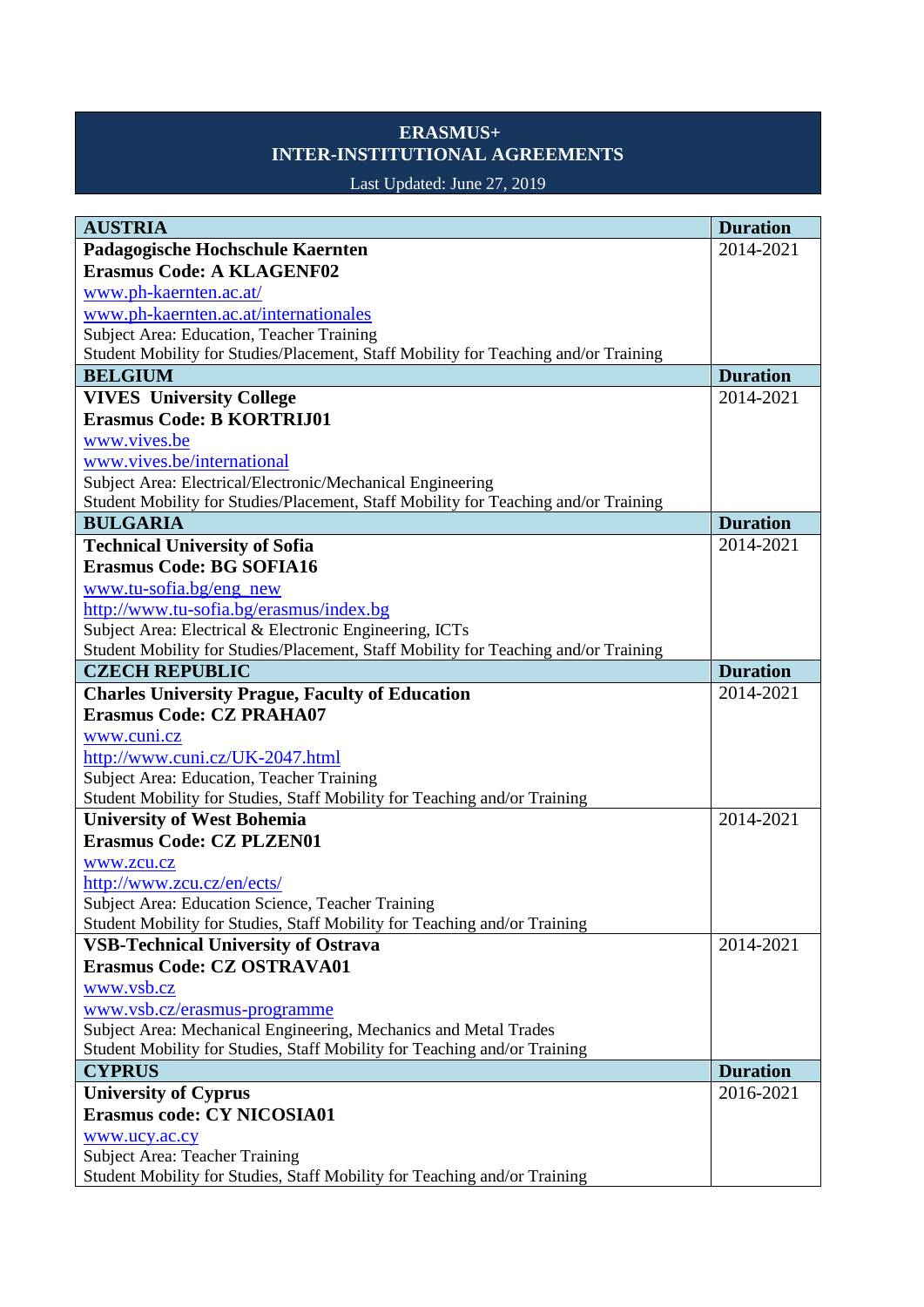## **ERASMUS+ INTER-INSTITUTIONAL AGREEMENTS**

## Last Updated: June 27, 2019

| <b>AUSTRIA</b>                                                                      | <b>Duration</b> |
|-------------------------------------------------------------------------------------|-----------------|
| Padagogische Hochschule Kaernten                                                    | 2014-2021       |
| <b>Erasmus Code: A KLAGENF02</b>                                                    |                 |
| www.ph-kaernten.ac.at/                                                              |                 |
| www.ph-kaernten.ac.at/internationales                                               |                 |
| Subject Area: Education, Teacher Training                                           |                 |
| Student Mobility for Studies/Placement, Staff Mobility for Teaching and/or Training |                 |
| <b>BELGIUM</b>                                                                      | <b>Duration</b> |
| <b>VIVES</b> University College                                                     | 2014-2021       |
| <b>Erasmus Code: B KORTRIJ01</b>                                                    |                 |
| www.vives.be                                                                        |                 |
| www.vives.be/international                                                          |                 |
| Subject Area: Electrical/Electronic/Mechanical Engineering                          |                 |
| Student Mobility for Studies/Placement, Staff Mobility for Teaching and/or Training |                 |
| <b>BULGARIA</b>                                                                     | <b>Duration</b> |
| <b>Technical University of Sofia</b>                                                | 2014-2021       |
| <b>Erasmus Code: BG SOFIA16</b>                                                     |                 |
| www.tu-sofia.bg/eng_new                                                             |                 |
| http://www.tu-sofia.bg/erasmus/index.bg                                             |                 |
| Subject Area: Electrical & Electronic Engineering, ICTs                             |                 |
| Student Mobility for Studies/Placement, Staff Mobility for Teaching and/or Training |                 |
| <b>CZECH REPUBLIC</b>                                                               | <b>Duration</b> |
| <b>Charles University Prague, Faculty of Education</b>                              | 2014-2021       |
| <b>Erasmus Code: CZ PRAHA07</b>                                                     |                 |
| www.cuni.cz                                                                         |                 |
| http://www.cuni.cz/UK-2047.html                                                     |                 |
| Subject Area: Education, Teacher Training                                           |                 |
| Student Mobility for Studies, Staff Mobility for Teaching and/or Training           |                 |
| <b>University of West Bohemia</b>                                                   | 2014-2021       |
| <b>Erasmus Code: CZ PLZEN01</b>                                                     |                 |
| www.zcu.cz                                                                          |                 |
| http://www.zcu.cz/en/ects/<br>Subject Area: Education Science, Teacher Training     |                 |
| Student Mobility for Studies, Staff Mobility for Teaching and/or Training           |                 |
| <b>VSB-Technical University of Ostrava</b>                                          | 2014-2021       |
| <b>Erasmus Code: CZ OSTRAVA01</b>                                                   |                 |
| www.vsb.cz                                                                          |                 |
| www.vsb.cz/erasmus-programme                                                        |                 |
| Subject Area: Mechanical Engineering, Mechanics and Metal Trades                    |                 |
| Student Mobility for Studies, Staff Mobility for Teaching and/or Training           |                 |
| <b>CYPRUS</b>                                                                       | <b>Duration</b> |
| <b>University of Cyprus</b>                                                         | 2016-2021       |
| <b>Erasmus code: CY NICOSIA01</b>                                                   |                 |
| www.ucy.ac.cy                                                                       |                 |
| <b>Subject Area: Teacher Training</b>                                               |                 |
| Student Mobility for Studies, Staff Mobility for Teaching and/or Training           |                 |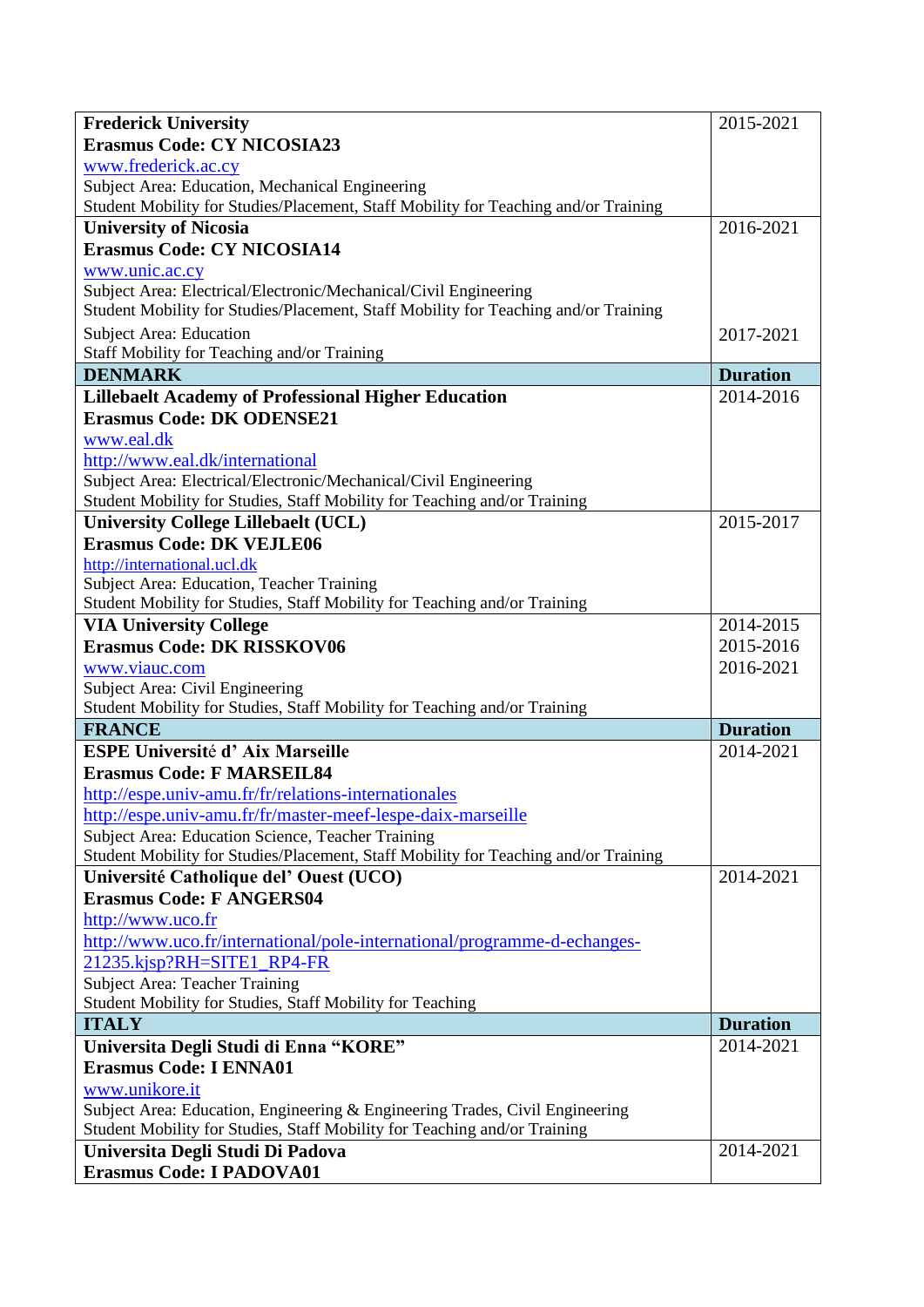| <b>Frederick University</b>                                                                                                              | 2015-2021                    |
|------------------------------------------------------------------------------------------------------------------------------------------|------------------------------|
| <b>Erasmus Code: CY NICOSIA23</b>                                                                                                        |                              |
| www.frederick.ac.cy                                                                                                                      |                              |
| Subject Area: Education, Mechanical Engineering                                                                                          |                              |
| Student Mobility for Studies/Placement, Staff Mobility for Teaching and/or Training                                                      |                              |
| <b>University of Nicosia</b>                                                                                                             | 2016-2021                    |
| <b>Erasmus Code: CY NICOSIA14</b>                                                                                                        |                              |
| www.unic.ac.cy                                                                                                                           |                              |
| Subject Area: Electrical/Electronic/Mechanical/Civil Engineering                                                                         |                              |
| Student Mobility for Studies/Placement, Staff Mobility for Teaching and/or Training                                                      |                              |
| Subject Area: Education                                                                                                                  | 2017-2021                    |
| Staff Mobility for Teaching and/or Training                                                                                              |                              |
| <b>DENMARK</b>                                                                                                                           | <b>Duration</b>              |
| <b>Lillebaelt Academy of Professional Higher Education</b>                                                                               | 2014-2016                    |
| <b>Erasmus Code: DK ODENSE21</b>                                                                                                         |                              |
| www.eal.dk                                                                                                                               |                              |
| http://www.eal.dk/international                                                                                                          |                              |
| Subject Area: Electrical/Electronic/Mechanical/Civil Engineering                                                                         |                              |
| Student Mobility for Studies, Staff Mobility for Teaching and/or Training                                                                |                              |
| <b>University College Lillebaelt (UCL)</b>                                                                                               | 2015-2017                    |
| <b>Erasmus Code: DK VEJLE06</b>                                                                                                          |                              |
| http://international.ucl.dk                                                                                                              |                              |
| Subject Area: Education, Teacher Training                                                                                                |                              |
| Student Mobility for Studies, Staff Mobility for Teaching and/or Training                                                                |                              |
| <b>VIA University College</b>                                                                                                            | 2014-2015                    |
| <b>Erasmus Code: DK RISSKOV06</b>                                                                                                        | 2015-2016                    |
| www.viauc.com                                                                                                                            | 2016-2021                    |
| Subject Area: Civil Engineering                                                                                                          |                              |
| Student Mobility for Studies, Staff Mobility for Teaching and/or Training                                                                |                              |
| <b>FRANCE</b><br><b>ESPE Université d'Aix Marseille</b>                                                                                  | <b>Duration</b><br>2014-2021 |
|                                                                                                                                          |                              |
| <b>Erasmus Code: F MARSEIL84</b>                                                                                                         |                              |
| http://espe.univ-amu.fr/fr/relations-internationales                                                                                     |                              |
| http://espe.univ-amu.fr/fr/master-meef-lespe-daix-marseille                                                                              |                              |
| Subject Area: Education Science, Teacher Training<br>Student Mobility for Studies/Placement, Staff Mobility for Teaching and/or Training |                              |
| Université Catholique del' Ouest (UCO)                                                                                                   | 2014-2021                    |
| <b>Erasmus Code: F ANGERS04</b>                                                                                                          |                              |
| http://www.uco.fr                                                                                                                        |                              |
| http://www.uco.fr/international/pole-international/programme-d-echanges-                                                                 |                              |
| 21235.kjsp?RH=SITE1 RP4-FR                                                                                                               |                              |
| <b>Subject Area: Teacher Training</b>                                                                                                    |                              |
| Student Mobility for Studies, Staff Mobility for Teaching                                                                                |                              |
| <b>ITALY</b>                                                                                                                             | <b>Duration</b>              |
| Universita Degli Studi di Enna "KORE"                                                                                                    | 2014-2021                    |
| <b>Erasmus Code: I ENNA01</b>                                                                                                            |                              |
| www.unikore.it                                                                                                                           |                              |
| Subject Area: Education, Engineering & Engineering Trades, Civil Engineering                                                             |                              |
| Student Mobility for Studies, Staff Mobility for Teaching and/or Training                                                                |                              |
| Universita Degli Studi Di Padova                                                                                                         | 2014-2021                    |
| <b>Erasmus Code: I PADOVA01</b>                                                                                                          |                              |
|                                                                                                                                          |                              |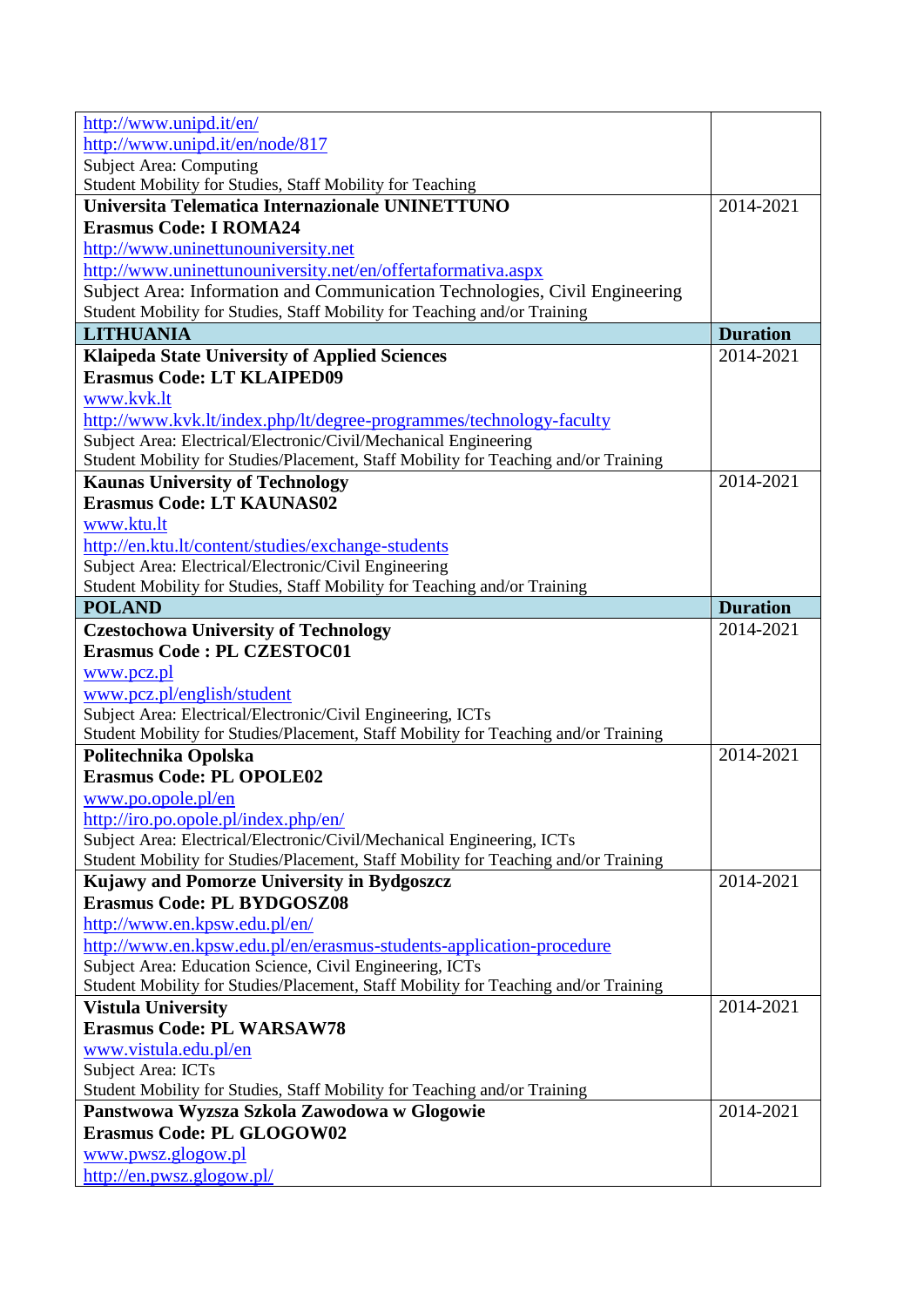| http://www.unipd.it/en/                                                             |                 |
|-------------------------------------------------------------------------------------|-----------------|
| http://www.unipd.it/en/node/817                                                     |                 |
| <b>Subject Area: Computing</b>                                                      |                 |
| Student Mobility for Studies, Staff Mobility for Teaching                           |                 |
| Universita Telematica Internazionale UNINETTUNO                                     | 2014-2021       |
| <b>Erasmus Code: I ROMA24</b>                                                       |                 |
| http://www.uninettunouniversity.net                                                 |                 |
| http://www.uninettunouniversity.net/en/offertaformativa.aspx                        |                 |
| Subject Area: Information and Communication Technologies, Civil Engineering         |                 |
| Student Mobility for Studies, Staff Mobility for Teaching and/or Training           |                 |
| <b>LITHUANIA</b>                                                                    | <b>Duration</b> |
| <b>Klaipeda State University of Applied Sciences</b>                                | 2014-2021       |
| <b>Erasmus Code: LT KLAIPED09</b>                                                   |                 |
| www.kvk.lt                                                                          |                 |
| http://www.kvk.lt/index.php/lt/degree-programmes/technology-faculty                 |                 |
| Subject Area: Electrical/Electronic/Civil/Mechanical Engineering                    |                 |
| Student Mobility for Studies/Placement, Staff Mobility for Teaching and/or Training |                 |
| <b>Kaunas University of Technology</b>                                              | 2014-2021       |
| <b>Erasmus Code: LT KAUNAS02</b>                                                    |                 |
| www.ktu.lt                                                                          |                 |
| http://en.ktu.lt/content/studies/exchange-students                                  |                 |
| Subject Area: Electrical/Electronic/Civil Engineering                               |                 |
| Student Mobility for Studies, Staff Mobility for Teaching and/or Training           |                 |
| <b>POLAND</b>                                                                       | <b>Duration</b> |
| <b>Czestochowa University of Technology</b>                                         | 2014-2021       |
| <b>Erasmus Code: PL CZESTOC01</b>                                                   |                 |
| www.pcz.pl                                                                          |                 |
| www.pcz.pl/english/student                                                          |                 |
| Subject Area: Electrical/Electronic/Civil Engineering, ICTs                         |                 |
| Student Mobility for Studies/Placement, Staff Mobility for Teaching and/or Training |                 |
| Politechnika Opolska                                                                | 2014-2021       |
| <b>Erasmus Code: PL OPOLE02</b>                                                     |                 |
| www.po.opole.pl/en                                                                  |                 |
| http://iro.po.opole.pl/index.php/en/                                                |                 |
| Subject Area: Electrical/Electronic/Civil/Mechanical Engineering, ICTs              |                 |
| Student Mobility for Studies/Placement, Staff Mobility for Teaching and/or Training |                 |
| Kujawy and Pomorze University in Bydgoszcz                                          | 2014-2021       |
| <b>Erasmus Code: PL BYDGOSZ08</b>                                                   |                 |
| http://www.en.kpsw.edu.pl/en/                                                       |                 |
| http://www.en.kpsw.edu.pl/en/erasmus-students-application-procedure                 |                 |
| Subject Area: Education Science, Civil Engineering, ICTs                            |                 |
| Student Mobility for Studies/Placement, Staff Mobility for Teaching and/or Training |                 |
| <b>Vistula University</b>                                                           | 2014-2021       |
| <b>Erasmus Code: PL WARSAW78</b>                                                    |                 |
| www.vistula.edu.pl/en                                                               |                 |
| <b>Subject Area: ICTs</b>                                                           |                 |
| Student Mobility for Studies, Staff Mobility for Teaching and/or Training           |                 |
| Panstwowa Wyzsza Szkola Zawodowa w Glogowie                                         | 2014-2021       |
| <b>Erasmus Code: PL GLOGOW02</b>                                                    |                 |
| www.pwsz.glogow.pl                                                                  |                 |
| http://en.pwsz.glogow.pl/                                                           |                 |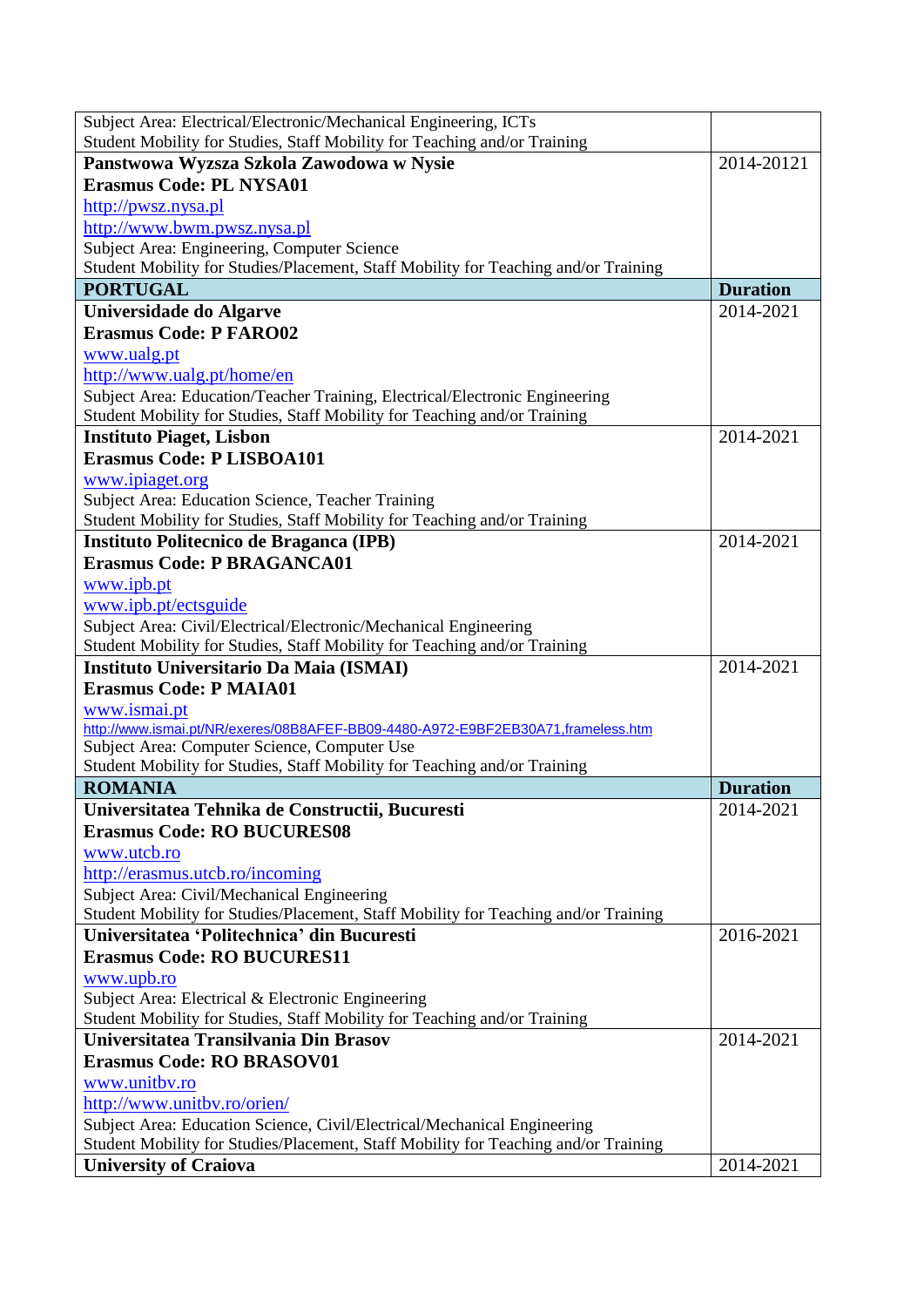| Subject Area: Electrical/Electronic/Mechanical Engineering, ICTs                                                    |                 |
|---------------------------------------------------------------------------------------------------------------------|-----------------|
| Student Mobility for Studies, Staff Mobility for Teaching and/or Training                                           | 2014-20121      |
| Panstwowa Wyzsza Szkola Zawodowa w Nysie<br><b>Erasmus Code: PL NYSA01</b>                                          |                 |
| http://pwsz.nysa.pl                                                                                                 |                 |
| http://www.bwm.pwsz.nysa.pl                                                                                         |                 |
| Subject Area: Engineering, Computer Science                                                                         |                 |
| Student Mobility for Studies/Placement, Staff Mobility for Teaching and/or Training                                 |                 |
| <b>PORTUGAL</b>                                                                                                     | <b>Duration</b> |
| Universidade do Algarve                                                                                             | 2014-2021       |
| <b>Erasmus Code: P FARO02</b>                                                                                       |                 |
| www.ualg.pt                                                                                                         |                 |
| http://www.ualg.pt/home/en                                                                                          |                 |
| Subject Area: Education/Teacher Training, Electrical/Electronic Engineering                                         |                 |
| Student Mobility for Studies, Staff Mobility for Teaching and/or Training                                           |                 |
| <b>Instituto Piaget, Lisbon</b>                                                                                     | 2014-2021       |
| <b>Erasmus Code: PLISBOA101</b>                                                                                     |                 |
| www.ipiaget.org                                                                                                     |                 |
| Subject Area: Education Science, Teacher Training                                                                   |                 |
| Student Mobility for Studies, Staff Mobility for Teaching and/or Training                                           |                 |
| Instituto Politecnico de Braganca (IPB)                                                                             | 2014-2021       |
| <b>Erasmus Code: P BRAGANCA01</b>                                                                                   |                 |
| www.ipb.pt                                                                                                          |                 |
| www.ipb.pt/ectsguide                                                                                                |                 |
| Subject Area: Civil/Electrical/Electronic/Mechanical Engineering                                                    |                 |
| Student Mobility for Studies, Staff Mobility for Teaching and/or Training                                           |                 |
| Instituto Universitario Da Maia (ISMAI)                                                                             | 2014-2021       |
| <b>Erasmus Code: P MAIA01</b>                                                                                       |                 |
| www.ismai.pt                                                                                                        |                 |
| http://www.ismai.pt/NR/exeres/08B8AFEF-BB09-4480-A972-E9BF2EB30A71,frameless.htm                                    |                 |
| Subject Area: Computer Science, Computer Use                                                                        |                 |
| Student Mobility for Studies, Staff Mobility for Teaching and/or Training                                           |                 |
| <b>ROMANIA</b>                                                                                                      | <b>Duration</b> |
| Universitatea Tehnika de Constructii, Bucuresti                                                                     | 2014-2021       |
| <b>Erasmus Code: RO BUCURES08</b>                                                                                   |                 |
| www.utcb.ro                                                                                                         |                 |
| http://erasmus.utcb.ro/incoming                                                                                     |                 |
| Subject Area: Civil/Mechanical Engineering                                                                          |                 |
| Student Mobility for Studies/Placement, Staff Mobility for Teaching and/or Training                                 |                 |
| Universitatea 'Politechnica' din Bucuresti                                                                          | 2016-2021       |
| <b>Erasmus Code: RO BUCURES11</b>                                                                                   |                 |
| www.upb.ro                                                                                                          |                 |
| Subject Area: Electrical & Electronic Engineering                                                                   |                 |
| Student Mobility for Studies, Staff Mobility for Teaching and/or Training                                           |                 |
| Universitatea Transilvania Din Brasov                                                                               | 2014-2021       |
| <b>Erasmus Code: RO BRASOV01</b>                                                                                    |                 |
| www.unitbv.ro                                                                                                       |                 |
| http://www.unitbv.ro/orien/                                                                                         |                 |
| Subject Area: Education Science, Civil/Electrical/Mechanical Engineering                                            |                 |
| Student Mobility for Studies/Placement, Staff Mobility for Teaching and/or Training<br><b>University of Craiova</b> | 2014-2021       |
|                                                                                                                     |                 |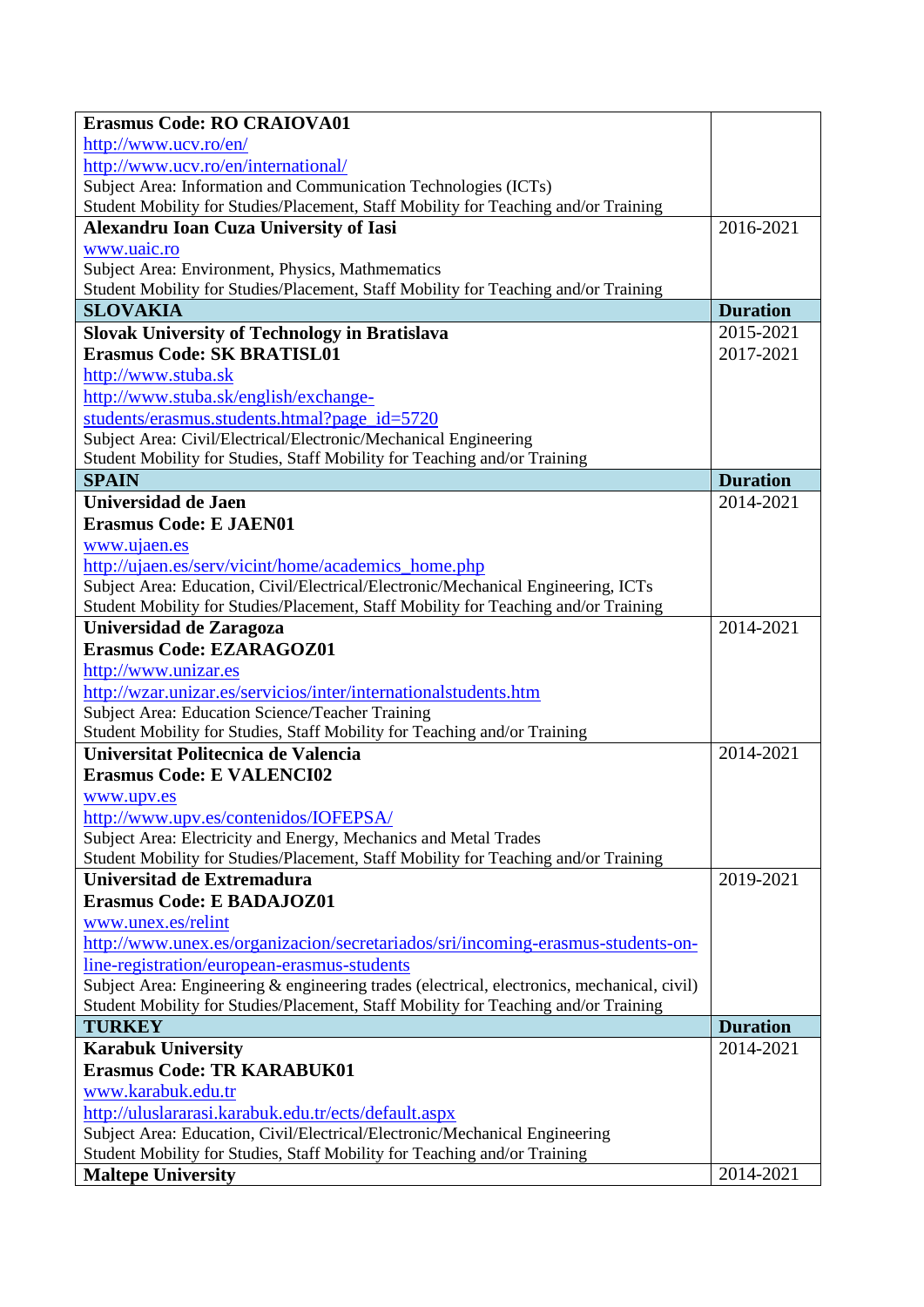| <b>Erasmus Code: RO CRAIOVA01</b>                                                           |                 |
|---------------------------------------------------------------------------------------------|-----------------|
| http://www.ucv.ro/en/                                                                       |                 |
| http://www.ucv.ro/en/international/                                                         |                 |
| Subject Area: Information and Communication Technologies (ICTs)                             |                 |
| Student Mobility for Studies/Placement, Staff Mobility for Teaching and/or Training         |                 |
| <b>Alexandru Ioan Cuza University of Iasi</b>                                               | 2016-2021       |
| www.uaic.ro                                                                                 |                 |
| Subject Area: Environment, Physics, Mathmematics                                            |                 |
| Student Mobility for Studies/Placement, Staff Mobility for Teaching and/or Training         |                 |
| <b>SLOVAKIA</b>                                                                             | <b>Duration</b> |
| <b>Slovak University of Technology in Bratislava</b>                                        | 2015-2021       |
| <b>Erasmus Code: SK BRATISL01</b>                                                           | 2017-2021       |
| http://www.stuba.sk                                                                         |                 |
| http://www.stuba.sk/english/exchange-                                                       |                 |
| students/erasmus.students.htmal?page_id=5720                                                |                 |
| Subject Area: Civil/Electrical/Electronic/Mechanical Engineering                            |                 |
| Student Mobility for Studies, Staff Mobility for Teaching and/or Training                   |                 |
| <b>SPAIN</b>                                                                                | <b>Duration</b> |
| Universidad de Jaen                                                                         | 2014-2021       |
| <b>Erasmus Code: E JAEN01</b>                                                               |                 |
| www.ujaen.es                                                                                |                 |
| http://ujaen.es/serv/vicint/home/academics_home.php                                         |                 |
| Subject Area: Education, Civil/Electrical/Electronic/Mechanical Engineering, ICTs           |                 |
| Student Mobility for Studies/Placement, Staff Mobility for Teaching and/or Training         |                 |
| Universidad de Zaragoza                                                                     | 2014-2021       |
| <b>Erasmus Code: EZARAGOZ01</b>                                                             |                 |
| http://www.unizar.es                                                                        |                 |
| http://wzar.unizar.es/servicios/inter/internationalstudents.htm                             |                 |
| Subject Area: Education Science/Teacher Training                                            |                 |
| Student Mobility for Studies, Staff Mobility for Teaching and/or Training                   |                 |
| Universitat Politecnica de Valencia                                                         | 2014-2021       |
| <b>Erasmus Code: E VALENCI02</b>                                                            |                 |
| www.upv.es                                                                                  |                 |
| http://www.upv.es/contenidos/IOFEPSA/                                                       |                 |
| Subject Area: Electricity and Energy, Mechanics and Metal Trades                            |                 |
| Student Mobility for Studies/Placement, Staff Mobility for Teaching and/or Training         |                 |
| Universitad de Extremadura                                                                  | 2019-2021       |
| <b>Erasmus Code: E BADAJOZ01</b>                                                            |                 |
| www.unex.es/relint                                                                          |                 |
| http://www.unex.es/organizacion/secretariados/sri/incoming-erasmus-students-on-             |                 |
| line-registration/european-erasmus-students                                                 |                 |
| Subject Area: Engineering & engineering trades (electrical, electronics, mechanical, civil) |                 |
| Student Mobility for Studies/Placement, Staff Mobility for Teaching and/or Training         |                 |
| <b>TURKEY</b>                                                                               | <b>Duration</b> |
| <b>Karabuk University</b>                                                                   | 2014-2021       |
| <b>Erasmus Code: TR KARABUK01</b>                                                           |                 |
| www.karabuk.edu.tr                                                                          |                 |
| http://uluslararasi.karabuk.edu.tr/ects/default.aspx                                        |                 |
| Subject Area: Education, Civil/Electrical/Electronic/Mechanical Engineering                 |                 |
| Student Mobility for Studies, Staff Mobility for Teaching and/or Training                   |                 |
| <b>Maltepe University</b>                                                                   | 2014-2021       |